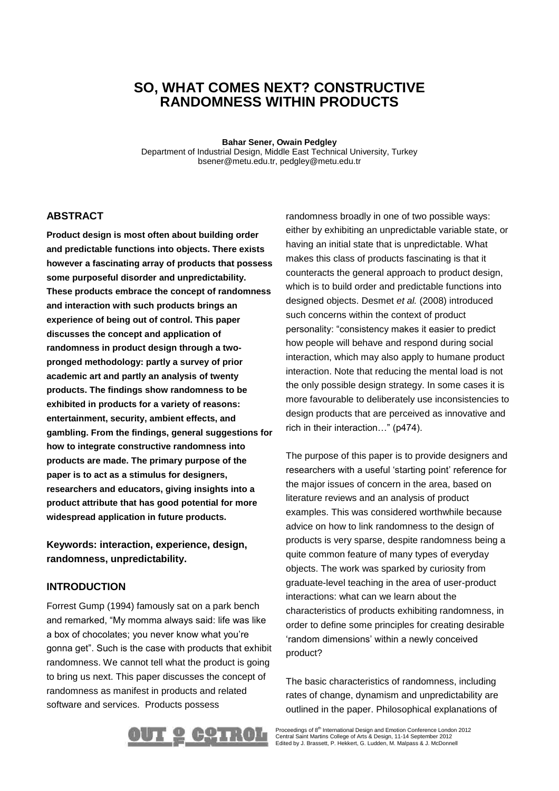# **SO, WHAT COMES NEXT? CONSTRUCTIVE RANDOMNESS WITHIN PRODUCTS**

**Bahar Sener, Owain Pedgley**

Department of Industrial Design, Middle East Technical University, Turkey bsener@metu.edu.tr, pedgley@metu.edu.tr

## **ABSTRACT**

**Product design is most often about building order and predictable functions into objects. There exists however a fascinating array of products that possess some purposeful disorder and unpredictability. These products embrace the concept of randomness and interaction with such products brings an experience of being out of control. This paper discusses the concept and application of randomness in product design through a twopronged methodology: partly a survey of prior academic art and partly an analysis of twenty products. The findings show randomness to be exhibited in products for a variety of reasons: entertainment, security, ambient effects, and gambling. From the findings, general suggestions for how to integrate constructive randomness into products are made. The primary purpose of the paper is to act as a stimulus for designers, researchers and educators, giving insights into a product attribute that has good potential for more widespread application in future products.**

**Keywords: interaction, experience, design, randomness, unpredictability.** 

### **INTRODUCTION**

Forrest Gump (1994) famously sat on a park bench and remarked, "My momma always said: life was like a box of chocolates; you never know what you're gonna get". Such is the case with products that exhibit randomness. We cannot tell what the product is going to bring us next. This paper discusses the concept of randomness as manifest in products and related software and services. Products possess

randomness broadly in one of two possible ways: either by exhibiting an unpredictable variable state, or having an initial state that is unpredictable. What makes this class of products fascinating is that it counteracts the general approach to product design, which is to build order and predictable functions into designed objects. Desmet *et al.* (2008) introduced such concerns within the context of product personality: "consistency makes it easier to predict how people will behave and respond during social interaction, which may also apply to humane product interaction. Note that reducing the mental load is not the only possible design strategy. In some cases it is more favourable to deliberately use inconsistencies to design products that are perceived as innovative and rich in their interaction…" (p474).

The purpose of this paper is to provide designers and researchers with a useful 'starting point' reference for the major issues of concern in the area, based on literature reviews and an analysis of product examples. This was considered worthwhile because advice on how to link randomness to the design of products is very sparse, despite randomness being a quite common feature of many types of everyday objects. The work was sparked by curiosity from graduate-level teaching in the area of user-product interactions: what can we learn about the characteristics of products exhibiting randomness, in order to define some principles for creating desirable 'random dimensions' within a newly conceived product?

The basic characteristics of randomness, including rates of change, dynamism and unpredictability are outlined in the paper. Philosophical explanations of



Proceedings of 8<sup>th</sup> International Design and Emotion Conference London 2012<br>Central Saint Martins College of Arts & Design, 11-14 September 2012<br>Edited by J. Brassett, P. Hekkert, G. Ludden, M. Malpass & J. McDonnell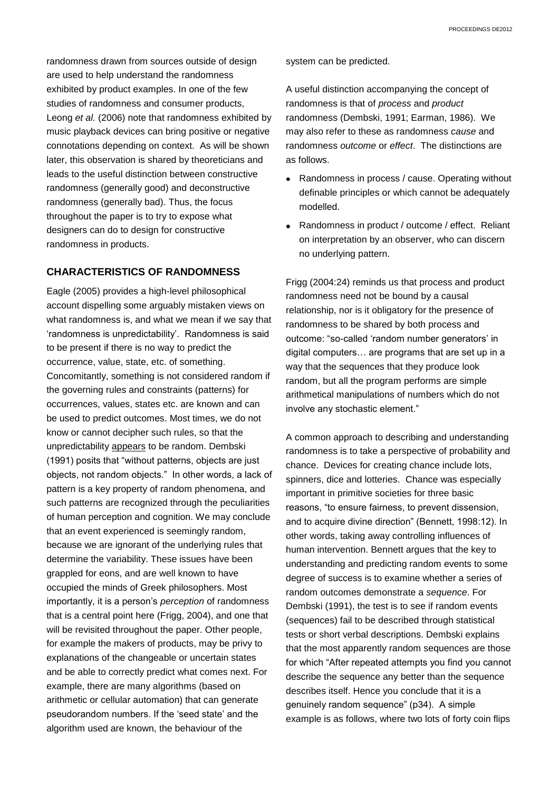randomness drawn from sources outside of design are used to help understand the randomness exhibited by product examples. In one of the few studies of randomness and consumer products, Leong *et al.* (2006) note that randomness exhibited by music playback devices can bring positive or negative connotations depending on context. As will be shown later, this observation is shared by theoreticians and leads to the useful distinction between constructive randomness (generally good) and deconstructive randomness (generally bad). Thus, the focus throughout the paper is to try to expose what designers can do to design for constructive randomness in products.

## **CHARACTERISTICS OF RANDOMNESS**

Eagle (2005) provides a high-level philosophical account dispelling some arguably mistaken views on what randomness is, and what we mean if we say that 'randomness is unpredictability'. Randomness is said to be present if there is no way to predict the occurrence, value, state, etc. of something. Concomitantly, something is not considered random if the governing rules and constraints (patterns) for occurrences, values, states etc. are known and can be used to predict outcomes. Most times, we do not know or cannot decipher such rules, so that the unpredictability appears to be random. Dembski (1991) posits that "without patterns, objects are just objects, not random objects." In other words, a lack of pattern is a key property of random phenomena, and such patterns are recognized through the peculiarities of human perception and cognition. We may conclude that an event experienced is seemingly random, because we are ignorant of the underlying rules that determine the variability. These issues have been grappled for eons, and are well known to have occupied the minds of Greek philosophers. Most importantly, it is a person's *perception* of randomness that is a central point here (Frigg, 2004), and one that will be revisited throughout the paper. Other people, for example the makers of products, may be privy to explanations of the changeable or uncertain states and be able to correctly predict what comes next. For example, there are many algorithms (based on arithmetic or cellular automation) that can generate pseudorandom numbers. If the 'seed state' and the algorithm used are known, the behaviour of the

system can be predicted.

A useful distinction accompanying the concept of randomness is that of *process* and *product*  randomness (Dembski, 1991; Earman, 1986). We may also refer to these as randomness *cause* and randomness *outcome* or *effect*. The distinctions are as follows.

- Randomness in process / cause. Operating without definable principles or which cannot be adequately modelled.
- Randomness in product / outcome / effect. Reliant on interpretation by an observer, who can discern no underlying pattern.

Frigg (2004:24) reminds us that process and product randomness need not be bound by a causal relationship, nor is it obligatory for the presence of randomness to be shared by both process and outcome: "so-called 'random number generators' in digital computers… are programs that are set up in a way that the sequences that they produce look random, but all the program performs are simple arithmetical manipulations of numbers which do not involve any stochastic element."

A common approach to describing and understanding randomness is to take a perspective of probability and chance. Devices for creating chance include lots, spinners, dice and lotteries. Chance was especially important in primitive societies for three basic reasons, "to ensure fairness, to prevent dissension, and to acquire divine direction" (Bennett, 1998:12). In other words, taking away controlling influences of human intervention. Bennett argues that the key to understanding and predicting random events to some degree of success is to examine whether a series of random outcomes demonstrate a *sequence*. For Dembski (1991), the test is to see if random events (sequences) fail to be described through statistical tests or short verbal descriptions. Dembski explains that the most apparently random sequences are those for which "After repeated attempts you find you cannot describe the sequence any better than the sequence describes itself. Hence you conclude that it is a genuinely random sequence" (p34). A simple example is as follows, where two lots of forty coin flips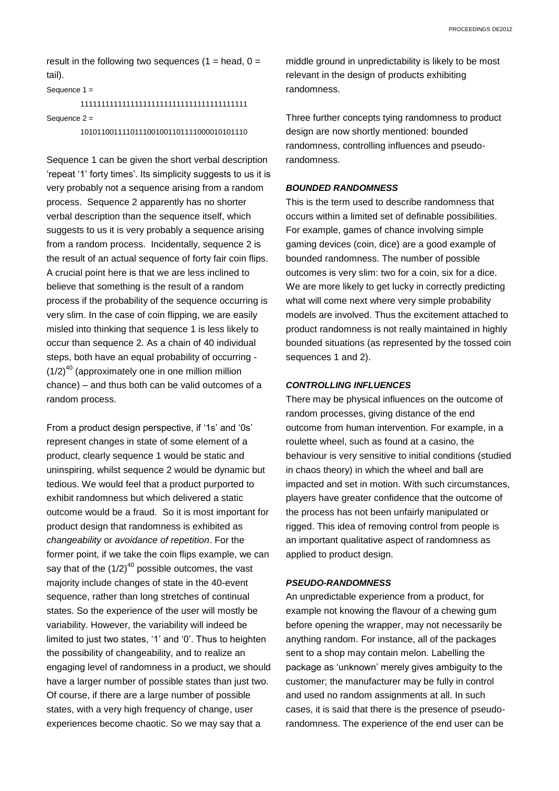result in the following two sequences  $(1 = head, 0 =$ tail).

Sequence 1 =

# 1111111111111111111111111111111111111111 Sequence 2 =

1010110011110111001001101111000010101110

Sequence 1 can be given the short verbal description 'repeat '1' forty times'. Its simplicity suggests to us it is very probably not a sequence arising from a random process. Sequence 2 apparently has no shorter verbal description than the sequence itself, which suggests to us it is very probably a sequence arising from a random process. Incidentally, sequence 2 is the result of an actual sequence of forty fair coin flips. A crucial point here is that we are less inclined to believe that something is the result of a random process if the probability of the sequence occurring is very slim. In the case of coin flipping, we are easily misled into thinking that sequence 1 is less likely to occur than sequence 2. As a chain of 40 individual steps, both have an equal probability of occurring -  $(1/2)^{40}$  (approximately one in one million million chance) – and thus both can be valid outcomes of a random process.

From a product design perspective, if '1s' and '0s' represent changes in state of some element of a product, clearly sequence 1 would be static and uninspiring, whilst sequence 2 would be dynamic but tedious. We would feel that a product purported to exhibit randomness but which delivered a static outcome would be a fraud. So it is most important for product design that randomness is exhibited as *changeability* or *avoidance of repetition*. For the former point, if we take the coin flips example, we can say that of the  $(1/2)^{40}$  possible outcomes, the vast majority include changes of state in the 40-event sequence, rather than long stretches of continual states. So the experience of the user will mostly be variability. However, the variability will indeed be limited to just two states, '1' and '0'. Thus to heighten the possibility of changeability, and to realize an engaging level of randomness in a product, we should have a larger number of possible states than just two*.* Of course, if there are a large number of possible states, with a very high frequency of change, user experiences become chaotic. So we may say that a

middle ground in unpredictability is likely to be most relevant in the design of products exhibiting randomness.

Three further concepts tying randomness to product design are now shortly mentioned: bounded randomness, controlling influences and pseudorandomness.

#### *BOUNDED RANDOMNESS*

This is the term used to describe randomness that occurs within a limited set of definable possibilities. For example, games of chance involving simple gaming devices (coin, dice) are a good example of bounded randomness. The number of possible outcomes is very slim: two for a coin, six for a dice. We are more likely to get lucky in correctly predicting what will come next where very simple probability models are involved. Thus the excitement attached to product randomness is not really maintained in highly bounded situations (as represented by the tossed coin sequences 1 and 2).

### *CONTROLLING INFLUENCES*

There may be physical influences on the outcome of random processes, giving distance of the end outcome from human intervention. For example, in a roulette wheel, such as found at a casino, the behaviour is very sensitive to initial conditions (studied in chaos theory) in which the wheel and ball are impacted and set in motion. With such circumstances, players have greater confidence that the outcome of the process has not been unfairly manipulated or rigged. This idea of removing control from people is an important qualitative aspect of randomness as applied to product design.

#### *PSEUDO-RANDOMNESS*

An unpredictable experience from a product, for example not knowing the flavour of a chewing gum before opening the wrapper, may not necessarily be anything random. For instance, all of the packages sent to a shop may contain melon. Labelling the package as 'unknown' merely gives ambiguity to the customer; the manufacturer may be fully in control and used no random assignments at all. In such cases, it is said that there is the presence of pseudorandomness. The experience of the end user can be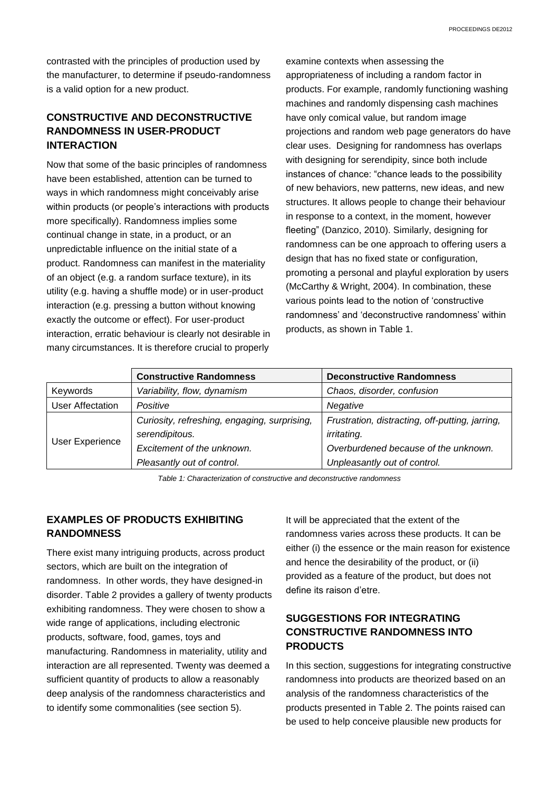contrasted with the principles of production used by the manufacturer, to determine if pseudo-randomness is a valid option for a new product.

# **CONSTRUCTIVE AND DECONSTRUCTIVE RANDOMNESS IN USER-PRODUCT INTERACTION**

Now that some of the basic principles of randomness have been established, attention can be turned to ways in which randomness might conceivably arise within products (or people's interactions with products more specifically). Randomness implies some continual change in state, in a product, or an unpredictable influence on the initial state of a product. Randomness can manifest in the materiality of an object (e.g. a random surface texture), in its utility (e.g. having a shuffle mode) or in user-product interaction (e.g. pressing a button without knowing exactly the outcome or effect). For user-product interaction, erratic behaviour is clearly not desirable in many circumstances. It is therefore crucial to properly

examine contexts when assessing the appropriateness of including a random factor in products. For example, randomly functioning washing machines and randomly dispensing cash machines have only comical value, but random image projections and random web page generators do have clear uses. Designing for randomness has overlaps with designing for serendipity, since both include instances of chance: "chance leads to the possibility of new behaviors, new patterns, new ideas, and new structures. It allows people to change their behaviour in response to a context, in the moment, however fleeting" (Danzico, 2010). Similarly, designing for randomness can be one approach to offering users a design that has no fixed state or configuration, promoting a personal and playful exploration by users (McCarthy & Wright, 2004). In combination, these various points lead to the notion of 'constructive randomness' and 'deconstructive randomness' within products, as shown in Table 1.

|                  | <b>Constructive Randomness</b>               | <b>Deconstructive Randomness</b>                |  |
|------------------|----------------------------------------------|-------------------------------------------------|--|
| Keywords         | Variability, flow, dynamism                  | Chaos, disorder, confusion                      |  |
| User Affectation | Positive                                     | Negative                                        |  |
| User Experience  | Curiosity, refreshing, engaging, surprising, | Frustration, distracting, off-putting, jarring, |  |
|                  | serendipitous.                               | irritating.                                     |  |
|                  | Excitement of the unknown.                   | Overburdened because of the unknown.            |  |
|                  | Pleasantly out of control.                   | Unpleasantly out of control.                    |  |

*Table 1: Characterization of constructive and deconstructive randomness*

# **EXAMPLES OF PRODUCTS EXHIBITING RANDOMNESS**

There exist many intriguing products, across product sectors, which are built on the integration of randomness. In other words, they have designed-in disorder. Table 2 provides a gallery of twenty products exhibiting randomness. They were chosen to show a wide range of applications, including electronic products, software, food, games, toys and manufacturing. Randomness in materiality, utility and interaction are all represented. Twenty was deemed a sufficient quantity of products to allow a reasonably deep analysis of the randomness characteristics and to identify some commonalities (see section 5).

It will be appreciated that the extent of the randomness varies across these products. It can be either (i) the essence or the main reason for existence and hence the desirability of the product, or (ii) provided as a feature of the product, but does not define its raison d'etre.

# **SUGGESTIONS FOR INTEGRATING CONSTRUCTIVE RANDOMNESS INTO PRODUCTS**

In this section, suggestions for integrating constructive randomness into products are theorized based on an analysis of the randomness characteristics of the products presented in Table 2. The points raised can be used to help conceive plausible new products for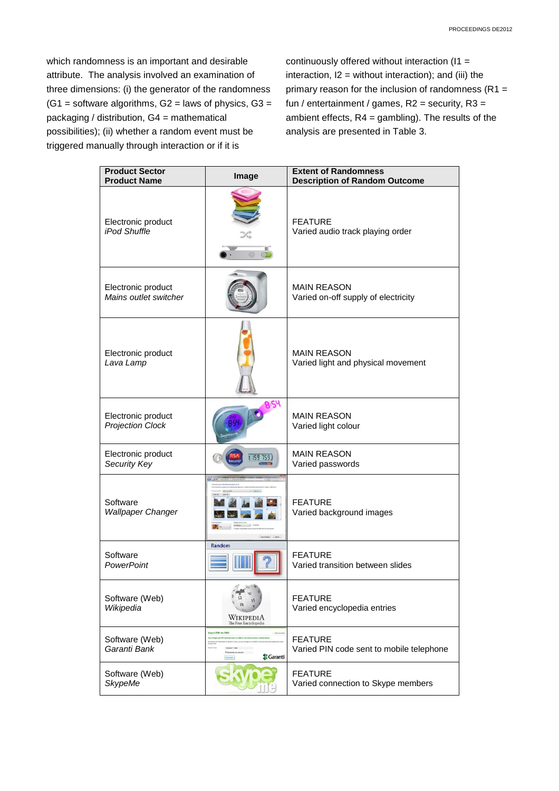which randomness is an important and desirable attribute. The analysis involved an examination of three dimensions: (i) the generator of the randomness  $(G1 = software algorithms, G2 = laws of physics, G3 =$ packaging / distribution, G4 = mathematical possibilities); (ii) whether a random event must be triggered manually through interaction or if it is

continuously offered without interaction (I1 = interaction,  $I2 =$  without interaction); and (iii) the primary reason for the inclusion of randomness ( $R1 =$ fun / entertainment / games,  $R2$  = security,  $R3$  = ambient effects, R4 = gambling). The results of the analysis are presented in Table 3.

| <b>Product Sector</b><br><b>Product Name</b>  | Image                                              | <b>Extent of Randomness</b><br><b>Description of Random Outcome</b> |  |  |
|-----------------------------------------------|----------------------------------------------------|---------------------------------------------------------------------|--|--|
| Electronic product<br>iPod Shuffle            | <b>FEATURE</b><br>Varied audio track playing order |                                                                     |  |  |
| Electronic product<br>Mains outlet switcher   |                                                    | <b>MAIN REASON</b><br>Varied on-off supply of electricity           |  |  |
| Electronic product<br>Lava Lamp               |                                                    | <b>MAIN REASON</b><br>Varied light and physical movement            |  |  |
| Electronic product<br><b>Projection Clock</b> |                                                    | <b>MAIN REASON</b><br>Varied light colour                           |  |  |
| Electronic product<br>Security Key            | 159 759.                                           | <b>MAIN REASON</b><br>Varied passwords                              |  |  |
| Software<br><b>Wallpaper Changer</b>          |                                                    | <b>FEATURE</b><br>Varied background images                          |  |  |
| Software<br>PowerPoint                        | Random                                             | <b>FEATURE</b><br>Varied transition between slides                  |  |  |
| Software (Web)<br>Wikipedia                   | WIKIPEDIA<br>The Free Encyclopedia                 | <b>FEATURE</b><br>Varied encyclopedia entries                       |  |  |
| Software (Web)<br>Garanti Bank                | Garanti                                            | <b>FEATURE</b><br>Varied PIN code sent to mobile telephone          |  |  |
| Software (Web)<br><b>SkypeMe</b>              |                                                    | <b>FEATURE</b><br>Varied connection to Skype members                |  |  |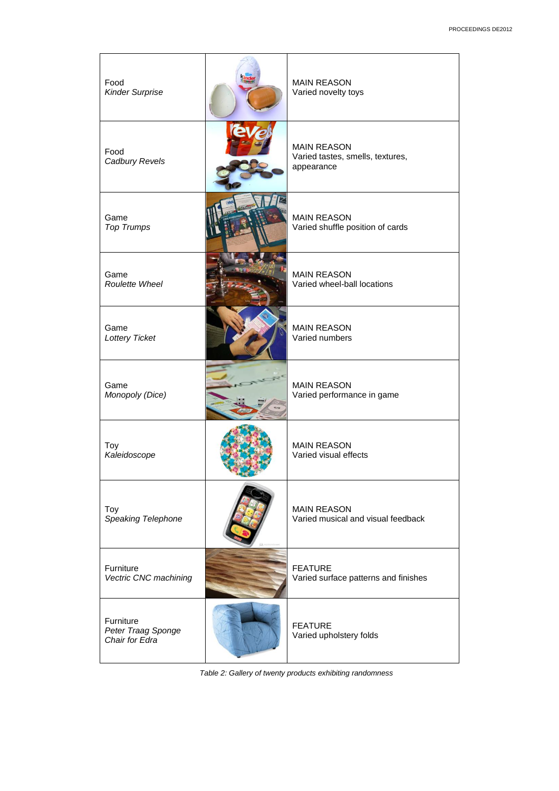| Food<br><b>Kinder Surprise</b>                    | <b>MAIN REASON</b><br>Varied novelty toys                            |
|---------------------------------------------------|----------------------------------------------------------------------|
| Food<br>Cadbury Revels                            | <b>MAIN REASON</b><br>Varied tastes, smells, textures,<br>appearance |
| Game<br><b>Top Trumps</b>                         | <b>MAIN REASON</b><br>Varied shuffle position of cards               |
| Game<br>Roulette Wheel                            | <b>MAIN REASON</b><br>Varied wheel-ball locations                    |
| Game<br>Lottery Ticket                            | <b>MAIN REASON</b><br>Varied numbers                                 |
| Game<br>Monopoly (Dice)                           | <b>MAIN REASON</b><br>Varied performance in game                     |
| Toy<br>Kaleidoscope                               | <b>MAIN REASON</b><br>Varied visual effects                          |
| Toy<br>Speaking Telephone                         | <b>MAIN REASON</b><br>Varied musical and visual feedback             |
| Furniture<br>Vectric CNC machining                | <b>FEATURE</b><br>Varied surface patterns and finishes               |
| Furniture<br>Peter Traag Sponge<br>Chair for Edra | <b>FEATURE</b><br>Varied upholstery folds                            |

*Table 2: Gallery of twenty products exhibiting randomness*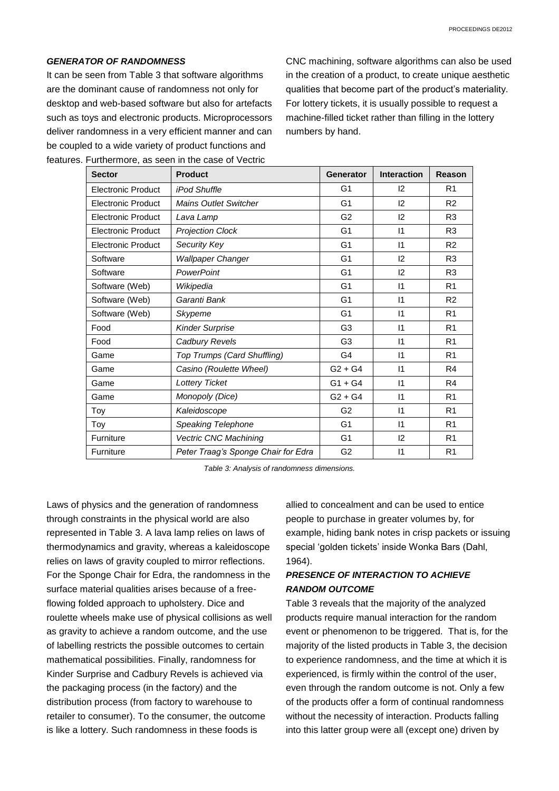#### *GENERATOR OF RANDOMNESS*

It can be seen from Table 3 that software algorithms are the dominant cause of randomness not only for desktop and web-based software but also for artefacts such as toys and electronic products. Microprocessors deliver randomness in a very efficient manner and can be coupled to a wide variety of product functions and features. Furthermore, as seen in the case of Vectric

CNC machining, software algorithms can also be used in the creation of a product, to create unique aesthetic qualities that become part of the product's materiality. For lottery tickets, it is usually possible to request a machine-filled ticket rather than filling in the lottery numbers by hand.

| <b>Sector</b>             | <b>Product</b>                      | <b>Generator</b> | <b>Interaction</b> | Reason         |
|---------------------------|-------------------------------------|------------------|--------------------|----------------|
| <b>Electronic Product</b> | iPod Shuffle                        | G <sub>1</sub>   | 12                 | R <sub>1</sub> |
| Electronic Product        | <b>Mains Outlet Switcher</b>        | G <sub>1</sub>   | 12                 | R <sub>2</sub> |
| <b>Electronic Product</b> | Lava Lamp                           | G <sub>2</sub>   | 12                 | R <sub>3</sub> |
| <b>Electronic Product</b> | <b>Projection Clock</b>             | G <sub>1</sub>   | $\vert$ 1          | R <sub>3</sub> |
| <b>Electronic Product</b> | Security Key                        | G <sub>1</sub>   | $\mathsf{I}$       | R <sub>2</sub> |
| Software                  | <b>Wallpaper Changer</b>            | G <sub>1</sub>   | 12                 | R <sub>3</sub> |
| Software                  | PowerPoint                          | G <sub>1</sub>   | 12                 | R <sub>3</sub> |
| Software (Web)            | Wikipedia                           | G <sub>1</sub>   | $\mathsf{I}$       | R <sub>1</sub> |
| Software (Web)            | Garanti Bank                        | G <sub>1</sub>   | $\mathsf{I}$       | R <sub>2</sub> |
| Software (Web)            | Skypeme                             | G <sub>1</sub>   | $\vert$ 1          | R <sub>1</sub> |
| Food                      | <b>Kinder Surprise</b>              | G <sub>3</sub>   | $\mathsf{I}$       | R <sub>1</sub> |
| Food                      | Cadbury Revels                      | G <sub>3</sub>   | $\vert$ 1          | R <sub>1</sub> |
| Game                      | Top Trumps (Card Shuffling)         | G <sub>4</sub>   | $\vert$ 1          | R <sub>1</sub> |
| Game                      | Casino (Roulette Wheel)             | $G2 + G4$        | $\vert$ 1          | R <sub>4</sub> |
| Game                      | <b>Lottery Ticket</b>               | $G1 + G4$        | $\mathsf{I}$       | R <sub>4</sub> |
| Game                      | Monopoly (Dice)                     | $G2 + G4$        | $\vert$ 1          | R <sub>1</sub> |
| Toy                       | Kaleidoscope                        | G <sub>2</sub>   | $\vert$ 1          | R <sub>1</sub> |
| Toy                       | Speaking Telephone                  | G <sub>1</sub>   | 11                 | R <sub>1</sub> |
| Furniture                 | Vectric CNC Machining               | G <sub>1</sub>   | 12                 | R <sub>1</sub> |
| Furniture                 | Peter Traag's Sponge Chair for Edra | G <sub>2</sub>   | $\vert$ 1          | R <sub>1</sub> |

*Table 3: Analysis of randomness dimensions.*

Laws of physics and the generation of randomness through constraints in the physical world are also represented in Table 3. A lava lamp relies on laws of thermodynamics and gravity, whereas a kaleidoscope relies on laws of gravity coupled to mirror reflections. For the Sponge Chair for Edra, the randomness in the surface material qualities arises because of a freeflowing folded approach to upholstery. Dice and roulette wheels make use of physical collisions as well as gravity to achieve a random outcome, and the use of labelling restricts the possible outcomes to certain mathematical possibilities. Finally, randomness for Kinder Surprise and Cadbury Revels is achieved via the packaging process (in the factory) and the distribution process (from factory to warehouse to retailer to consumer). To the consumer, the outcome is like a lottery. Such randomness in these foods is

allied to concealment and can be used to entice people to purchase in greater volumes by, for example, hiding bank notes in crisp packets or issuing special 'golden tickets' inside Wonka Bars (Dahl, 1964).

# *PRESENCE OF INTERACTION TO ACHIEVE RANDOM OUTCOME*

Table 3 reveals that the majority of the analyzed products require manual interaction for the random event or phenomenon to be triggered. That is, for the majority of the listed products in Table 3, the decision to experience randomness, and the time at which it is experienced, is firmly within the control of the user, even through the random outcome is not. Only a few of the products offer a form of continual randomness without the necessity of interaction. Products falling into this latter group were all (except one) driven by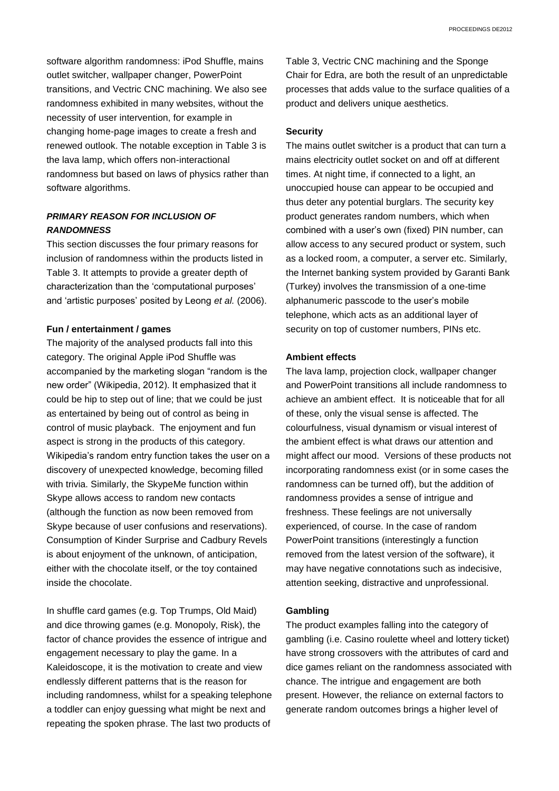software algorithm randomness: iPod Shuffle, mains outlet switcher, wallpaper changer, PowerPoint transitions, and Vectric CNC machining. We also see randomness exhibited in many websites, without the necessity of user intervention, for example in changing home-page images to create a fresh and renewed outlook. The notable exception in Table 3 is the lava lamp, which offers non-interactional randomness but based on laws of physics rather than software algorithms.

## *PRIMARY REASON FOR INCLUSION OF RANDOMNESS*

This section discusses the four primary reasons for inclusion of randomness within the products listed in Table 3. It attempts to provide a greater depth of characterization than the 'computational purposes' and 'artistic purposes' posited by Leong *et al.* (2006).

#### **Fun / entertainment / games**

The majority of the analysed products fall into this category. The original Apple iPod Shuffle was accompanied by the marketing slogan "random is the new order" (Wikipedia, 2012). It emphasized that it could be hip to step out of line; that we could be just as entertained by being out of control as being in control of music playback. The enjoyment and fun aspect is strong in the products of this category. Wikipedia's random entry function takes the user on a discovery of unexpected knowledge, becoming filled with trivia. Similarly, the SkypeMe function within Skype allows access to random new contacts (although the function as now been removed from Skype because of user confusions and reservations). Consumption of Kinder Surprise and Cadbury Revels is about enjoyment of the unknown, of anticipation, either with the chocolate itself, or the toy contained inside the chocolate.

In shuffle card games (e.g. Top Trumps, Old Maid) and dice throwing games (e.g. Monopoly, Risk), the factor of chance provides the essence of intrigue and engagement necessary to play the game. In a Kaleidoscope, it is the motivation to create and view endlessly different patterns that is the reason for including randomness, whilst for a speaking telephone a toddler can enjoy guessing what might be next and repeating the spoken phrase. The last two products of

Table 3, Vectric CNC machining and the Sponge Chair for Edra, are both the result of an unpredictable processes that adds value to the surface qualities of a product and delivers unique aesthetics.

## **Security**

The mains outlet switcher is a product that can turn a mains electricity outlet socket on and off at different times. At night time, if connected to a light, an unoccupied house can appear to be occupied and thus deter any potential burglars. The security key product generates random numbers, which when combined with a user's own (fixed) PIN number, can allow access to any secured product or system, such as a locked room, a computer, a server etc. Similarly, the Internet banking system provided by Garanti Bank (Turkey) involves the transmission of a one-time alphanumeric passcode to the user's mobile telephone, which acts as an additional layer of security on top of customer numbers, PINs etc.

#### **Ambient effects**

The lava lamp, projection clock, wallpaper changer and PowerPoint transitions all include randomness to achieve an ambient effect. It is noticeable that for all of these, only the visual sense is affected. The colourfulness, visual dynamism or visual interest of the ambient effect is what draws our attention and might affect our mood. Versions of these products not incorporating randomness exist (or in some cases the randomness can be turned off), but the addition of randomness provides a sense of intrigue and freshness. These feelings are not universally experienced, of course. In the case of random PowerPoint transitions (interestingly a function removed from the latest version of the software), it may have negative connotations such as indecisive, attention seeking, distractive and unprofessional.

### **Gambling**

The product examples falling into the category of gambling (i.e. Casino roulette wheel and lottery ticket) have strong crossovers with the attributes of card and dice games reliant on the randomness associated with chance. The intrigue and engagement are both present. However, the reliance on external factors to generate random outcomes brings a higher level of